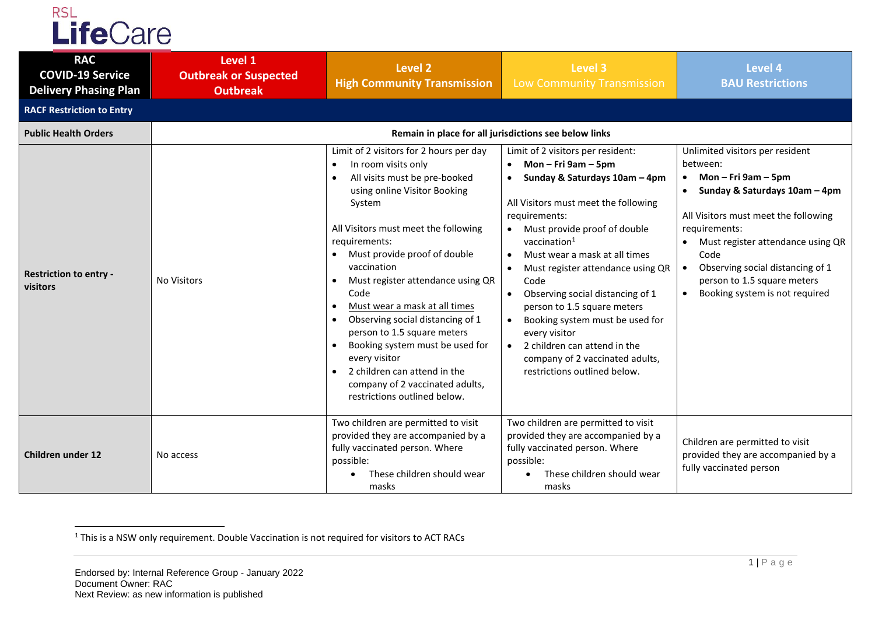

| <b>RAC</b><br><b>COVID-19 Service</b><br><b>Delivery Phasing Plan</b> | Level 1<br><b>Outbreak or Suspected</b><br><b>Outbreak</b> | <b>Level 2</b><br><b>High Community Transmission</b>                                                                                                                                                                                                                                                                                                                                                                                                                                                                                                                                                                                    | Level 3<br>Low Community Transmission                                                                                                                                                                                                                                                                                                                                                                                                                                                                                                             | <b>Level 4</b><br><b>BAU Restrictions</b>                                                                                                                                                                                                                                                                          |  |
|-----------------------------------------------------------------------|------------------------------------------------------------|-----------------------------------------------------------------------------------------------------------------------------------------------------------------------------------------------------------------------------------------------------------------------------------------------------------------------------------------------------------------------------------------------------------------------------------------------------------------------------------------------------------------------------------------------------------------------------------------------------------------------------------------|---------------------------------------------------------------------------------------------------------------------------------------------------------------------------------------------------------------------------------------------------------------------------------------------------------------------------------------------------------------------------------------------------------------------------------------------------------------------------------------------------------------------------------------------------|--------------------------------------------------------------------------------------------------------------------------------------------------------------------------------------------------------------------------------------------------------------------------------------------------------------------|--|
| <b>RACF Restriction to Entry</b>                                      |                                                            |                                                                                                                                                                                                                                                                                                                                                                                                                                                                                                                                                                                                                                         |                                                                                                                                                                                                                                                                                                                                                                                                                                                                                                                                                   |                                                                                                                                                                                                                                                                                                                    |  |
| <b>Public Health Orders</b>                                           | Remain in place for all jurisdictions see below links      |                                                                                                                                                                                                                                                                                                                                                                                                                                                                                                                                                                                                                                         |                                                                                                                                                                                                                                                                                                                                                                                                                                                                                                                                                   |                                                                                                                                                                                                                                                                                                                    |  |
| <b>Restriction to entry -</b><br>visitors                             | <b>No Visitors</b>                                         | Limit of 2 visitors for 2 hours per day<br>In room visits only<br>$\bullet$<br>All visits must be pre-booked<br>$\bullet$<br>using online Visitor Booking<br>System<br>All Visitors must meet the following<br>requirements:<br>Must provide proof of double<br>vaccination<br>Must register attendance using QR<br>$\bullet$<br>Code<br>Must wear a mask at all times<br>$\bullet$<br>Observing social distancing of 1<br>person to 1.5 square meters<br>Booking system must be used for<br>$\bullet$<br>every visitor<br>2 children can attend in the<br>$\bullet$<br>company of 2 vaccinated adults,<br>restrictions outlined below. | Limit of 2 visitors per resident:<br>Mon – Fri 9am – 5pm<br>$\bullet$<br>Sunday & Saturdays 10am - 4pm<br>All Visitors must meet the following<br>requirements:<br>Must provide proof of double<br>vaccination $1$<br>Must wear a mask at all times<br>Must register attendance using QR<br>Code<br>Observing social distancing of 1<br>person to 1.5 square meters<br>Booking system must be used for<br>$\bullet$<br>every visitor<br>$\bullet$ 2 children can attend in the<br>company of 2 vaccinated adults,<br>restrictions outlined below. | Unlimited visitors per resident<br>between:<br>Mon $-$ Fri 9am $-$ 5pm<br>Sunday & Saturdays 10am - 4pm<br>All Visitors must meet the following<br>requirements:<br>Must register attendance using QR<br>Code<br>Observing social distancing of 1<br>person to 1.5 square meters<br>Booking system is not required |  |
| <b>Children under 12</b>                                              | No access                                                  | Two children are permitted to visit<br>provided they are accompanied by a<br>fully vaccinated person. Where<br>possible:<br>These children should wear<br>masks                                                                                                                                                                                                                                                                                                                                                                                                                                                                         | Two children are permitted to visit<br>provided they are accompanied by a<br>fully vaccinated person. Where<br>possible:<br>These children should wear<br>masks                                                                                                                                                                                                                                                                                                                                                                                   | Children are permitted to visit<br>provided they are accompanied by a<br>fully vaccinated person                                                                                                                                                                                                                   |  |

 $<sup>1</sup>$  This is a NSW only requirement. Double Vaccination is not required for visitors to ACT RACs</sup>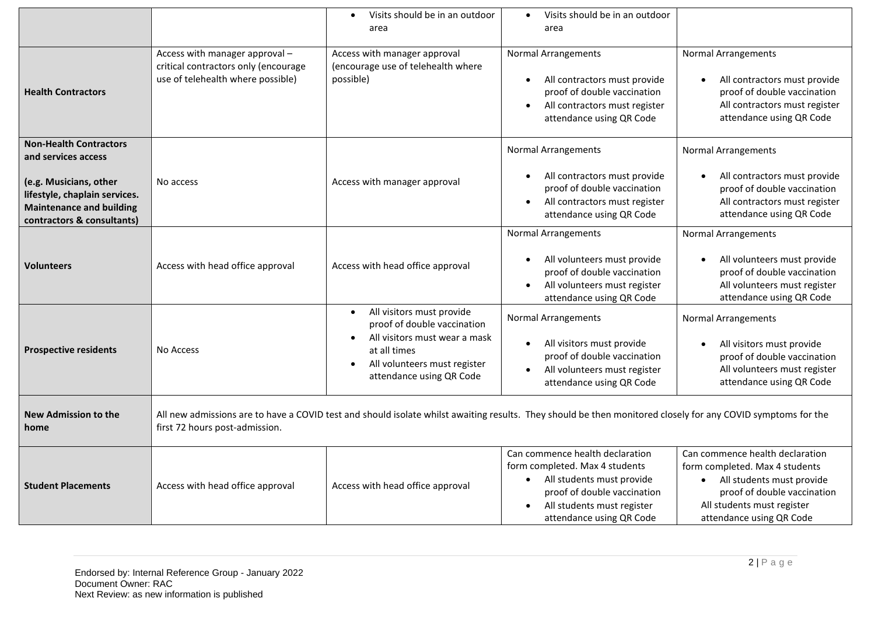|                                                                                                                                                                                  |                                                                                                                                                                                                | Visits should be in an outdoor<br>$\bullet$<br>area                                                                                                                                             | Visits should be in an outdoor<br>$\bullet$<br>area                                                                                                                                                               |                                                                                                                                                                                           |  |
|----------------------------------------------------------------------------------------------------------------------------------------------------------------------------------|------------------------------------------------------------------------------------------------------------------------------------------------------------------------------------------------|-------------------------------------------------------------------------------------------------------------------------------------------------------------------------------------------------|-------------------------------------------------------------------------------------------------------------------------------------------------------------------------------------------------------------------|-------------------------------------------------------------------------------------------------------------------------------------------------------------------------------------------|--|
| <b>Health Contractors</b>                                                                                                                                                        | Access with manager approval -<br>critical contractors only (encourage<br>use of telehealth where possible)                                                                                    | Access with manager approval<br>(encourage use of telehealth where<br>possible)                                                                                                                 | <b>Normal Arrangements</b><br>All contractors must provide<br>$\bullet$<br>proof of double vaccination<br>All contractors must register<br>$\bullet$<br>attendance using QR Code                                  | <b>Normal Arrangements</b><br>All contractors must provide<br>proof of double vaccination<br>All contractors must register<br>attendance using QR Code                                    |  |
| <b>Non-Health Contractors</b><br>and services access<br>(e.g. Musicians, other<br>lifestyle, chaplain services.<br><b>Maintenance and building</b><br>contractors & consultants) | No access                                                                                                                                                                                      | Access with manager approval                                                                                                                                                                    | <b>Normal Arrangements</b><br>All contractors must provide<br>proof of double vaccination<br>All contractors must register<br>$\bullet$<br>attendance using QR Code                                               | <b>Normal Arrangements</b><br>All contractors must provide<br>proof of double vaccination<br>All contractors must register<br>attendance using QR Code                                    |  |
| <b>Volunteers</b>                                                                                                                                                                | Access with head office approval                                                                                                                                                               | Access with head office approval                                                                                                                                                                | <b>Normal Arrangements</b><br>All volunteers must provide<br>proof of double vaccination<br>All volunteers must register<br>$\bullet$<br>attendance using QR Code                                                 | <b>Normal Arrangements</b><br>All volunteers must provide<br>proof of double vaccination<br>All volunteers must register<br>attendance using QR Code                                      |  |
| <b>Prospective residents</b>                                                                                                                                                     | No Access                                                                                                                                                                                      | All visitors must provide<br>$\bullet$<br>proof of double vaccination<br>All visitors must wear a mask<br>at all times<br>All volunteers must register<br>$\bullet$<br>attendance using QR Code | <b>Normal Arrangements</b><br>All visitors must provide<br>$\bullet$<br>proof of double vaccination<br>All volunteers must register<br>$\bullet$<br>attendance using QR Code                                      | <b>Normal Arrangements</b><br>All visitors must provide<br>proof of double vaccination<br>All volunteers must register<br>attendance using QR Code                                        |  |
| <b>New Admission to the</b><br>home                                                                                                                                              | All new admissions are to have a COVID test and should isolate whilst awaiting results. They should be then monitored closely for any COVID symptoms for the<br>first 72 hours post-admission. |                                                                                                                                                                                                 |                                                                                                                                                                                                                   |                                                                                                                                                                                           |  |
| <b>Student Placements</b>                                                                                                                                                        | Access with head office approval                                                                                                                                                               | Access with head office approval                                                                                                                                                                | Can commence health declaration<br>form completed. Max 4 students<br>All students must provide<br>$\bullet$<br>proof of double vaccination<br>All students must register<br>$\bullet$<br>attendance using QR Code | Can commence health declaration<br>form completed. Max 4 students<br>• All students must provide<br>proof of double vaccination<br>All students must register<br>attendance using QR Code |  |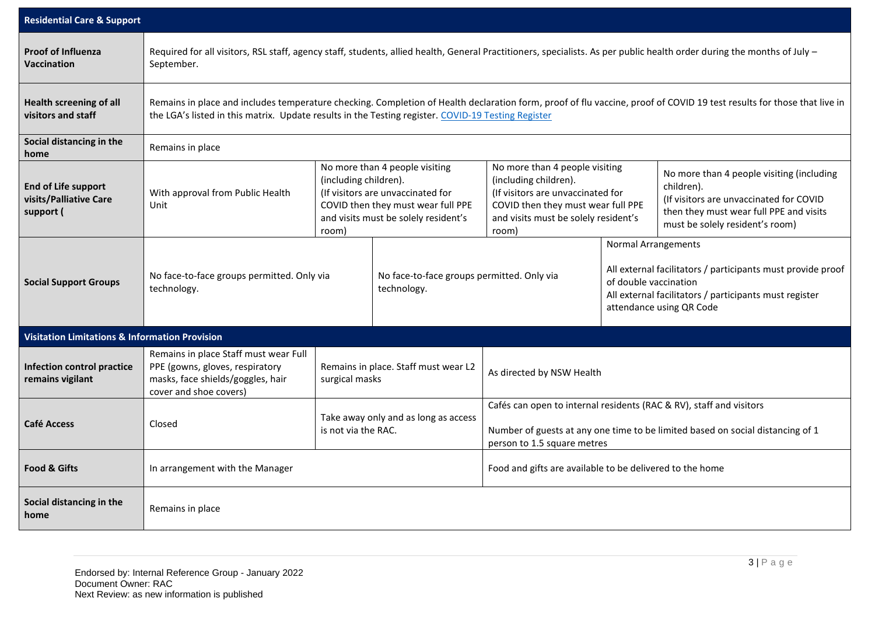| <b>Residential Care &amp; Support</b>                             |                                                                                                                                                                                                                                                                              |                                                                                                                                                                                     |                                                           |                                                                                                                                                                                      |                                                                                                                                                                                                          |                                                                                                                                                                                  |
|-------------------------------------------------------------------|------------------------------------------------------------------------------------------------------------------------------------------------------------------------------------------------------------------------------------------------------------------------------|-------------------------------------------------------------------------------------------------------------------------------------------------------------------------------------|-----------------------------------------------------------|--------------------------------------------------------------------------------------------------------------------------------------------------------------------------------------|----------------------------------------------------------------------------------------------------------------------------------------------------------------------------------------------------------|----------------------------------------------------------------------------------------------------------------------------------------------------------------------------------|
| <b>Proof of Influenza</b><br><b>Vaccination</b>                   | Required for all visitors, RSL staff, agency staff, students, allied health, General Practitioners, specialists. As per public health order during the months of July -<br>September.                                                                                        |                                                                                                                                                                                     |                                                           |                                                                                                                                                                                      |                                                                                                                                                                                                          |                                                                                                                                                                                  |
| <b>Health screening of all</b><br>visitors and staff              | Remains in place and includes temperature checking. Completion of Health declaration form, proof of flu vaccine, proof of COVID 19 test results for those that live in<br>the LGA's listed in this matrix. Update results in the Testing register. COVID-19 Testing Register |                                                                                                                                                                                     |                                                           |                                                                                                                                                                                      |                                                                                                                                                                                                          |                                                                                                                                                                                  |
| Social distancing in the<br>home                                  | Remains in place                                                                                                                                                                                                                                                             |                                                                                                                                                                                     |                                                           |                                                                                                                                                                                      |                                                                                                                                                                                                          |                                                                                                                                                                                  |
| <b>End of Life support</b><br>visits/Palliative Care<br>support ( | With approval from Public Health<br>Unit                                                                                                                                                                                                                                     | No more than 4 people visiting<br>(including children).<br>(If visitors are unvaccinated for<br>COVID then they must wear full PPE<br>and visits must be solely resident's<br>room) |                                                           | No more than 4 people visiting<br>(including children).<br>(If visitors are unvaccinated for<br>COVID then they must wear full PPE<br>and visits must be solely resident's<br>room)  |                                                                                                                                                                                                          | No more than 4 people visiting (including<br>children).<br>(If visitors are unvaccinated for COVID<br>then they must wear full PPE and visits<br>must be solely resident's room) |
| <b>Social Support Groups</b>                                      | No face-to-face groups permitted. Only via<br>technology.                                                                                                                                                                                                                    |                                                                                                                                                                                     | No face-to-face groups permitted. Only via<br>technology. |                                                                                                                                                                                      | <b>Normal Arrangements</b><br>All external facilitators / participants must provide proof<br>of double vaccination<br>All external facilitators / participants must register<br>attendance using QR Code |                                                                                                                                                                                  |
| <b>Visitation Limitations &amp; Information Provision</b>         |                                                                                                                                                                                                                                                                              |                                                                                                                                                                                     |                                                           |                                                                                                                                                                                      |                                                                                                                                                                                                          |                                                                                                                                                                                  |
| Infection control practice<br>remains vigilant                    | Remains in place Staff must wear Full<br>PPE (gowns, gloves, respiratory<br>masks, face shields/goggles, hair<br>cover and shoe covers)                                                                                                                                      | Remains in place. Staff must wear L2<br>surgical masks                                                                                                                              |                                                           | As directed by NSW Health                                                                                                                                                            |                                                                                                                                                                                                          |                                                                                                                                                                                  |
| <b>Café Access</b>                                                | Closed                                                                                                                                                                                                                                                                       | Take away only and as long as access<br>is not via the RAC.                                                                                                                         |                                                           | Cafés can open to internal residents (RAC & RV), staff and visitors<br>Number of guests at any one time to be limited based on social distancing of 1<br>person to 1.5 square metres |                                                                                                                                                                                                          |                                                                                                                                                                                  |
| <b>Food &amp; Gifts</b>                                           | In arrangement with the Manager                                                                                                                                                                                                                                              |                                                                                                                                                                                     |                                                           | Food and gifts are available to be delivered to the home                                                                                                                             |                                                                                                                                                                                                          |                                                                                                                                                                                  |
| Social distancing in the<br>home                                  | Remains in place                                                                                                                                                                                                                                                             |                                                                                                                                                                                     |                                                           |                                                                                                                                                                                      |                                                                                                                                                                                                          |                                                                                                                                                                                  |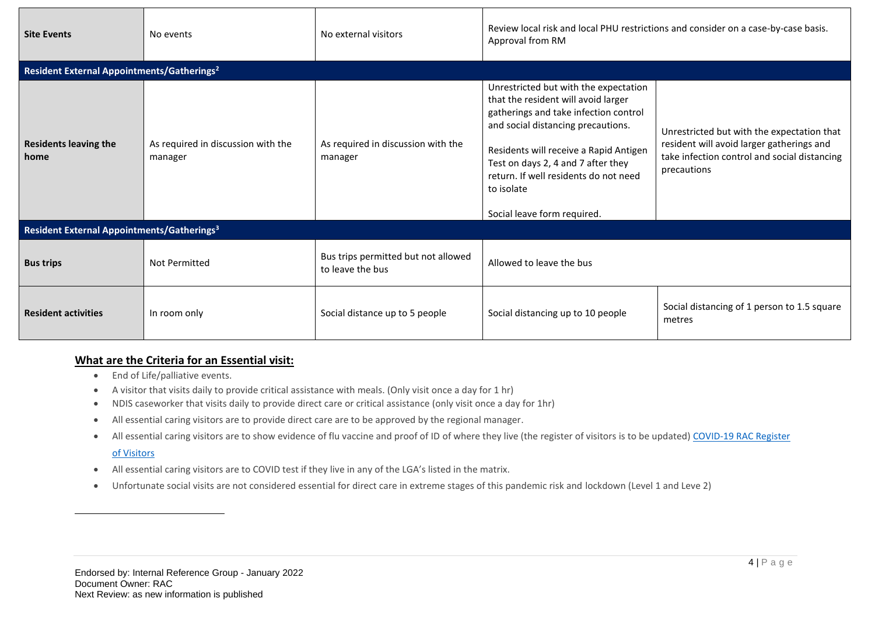| <b>Site Events</b>                                     | No events                                     | No external visitors                                    | Review local risk and local PHU restrictions and consider on a case-by-case basis.<br>Approval from RM                                                                                                                                                                                                                            |                                                                                                                                                        |  |  |
|--------------------------------------------------------|-----------------------------------------------|---------------------------------------------------------|-----------------------------------------------------------------------------------------------------------------------------------------------------------------------------------------------------------------------------------------------------------------------------------------------------------------------------------|--------------------------------------------------------------------------------------------------------------------------------------------------------|--|--|
| Resident External Appointments/Gatherings <sup>2</sup> |                                               |                                                         |                                                                                                                                                                                                                                                                                                                                   |                                                                                                                                                        |  |  |
| <b>Residents leaving the</b><br>home                   | As required in discussion with the<br>manager | As required in discussion with the<br>manager           | Unrestricted but with the expectation<br>that the resident will avoid larger<br>gatherings and take infection control<br>and social distancing precautions.<br>Residents will receive a Rapid Antigen<br>Test on days 2, 4 and 7 after they<br>return. If well residents do not need<br>to isolate<br>Social leave form required. | Unrestricted but with the expectation that<br>resident will avoid larger gatherings and<br>take infection control and social distancing<br>precautions |  |  |
| Resident External Appointments/Gatherings <sup>3</sup> |                                               |                                                         |                                                                                                                                                                                                                                                                                                                                   |                                                                                                                                                        |  |  |
| <b>Bus trips</b>                                       | <b>Not Permitted</b>                          | Bus trips permitted but not allowed<br>to leave the bus | Allowed to leave the bus                                                                                                                                                                                                                                                                                                          |                                                                                                                                                        |  |  |
| <b>Resident activities</b>                             | In room only                                  | Social distance up to 5 people                          | Social distancing up to 10 people                                                                                                                                                                                                                                                                                                 | Social distancing of 1 person to 1.5 square<br>metres                                                                                                  |  |  |

# **What are the Criteria for an Essential visit:**

- End of Life/palliative events.
- A visitor that visits daily to provide critical assistance with meals. (Only visit once a day for 1 hr)
- NDIS caseworker that visits daily to provide direct care or critical assistance (only visit once a day for 1hr)
- All essential caring visitors are to provide direct care are to be approved by the regional manager.
- All essential caring visitors are to show evidence of flu vaccine and proof of ID of where they live (the register of visitors is to be updated) COVID-19 RAC Register

## [of Visitors](file://///rslvrv.com.au/dfs/data/RAC%20Operations/_COVID-19/RAC%20Register%20of%20Visitors)

- All essential caring visitors are to COVID test if they live in any of the LGA's listed in the matrix.
- Unfortunate social visits are not considered essential for direct care in extreme stages of this pandemic risk and lockdown (Level 1 and Leve 2)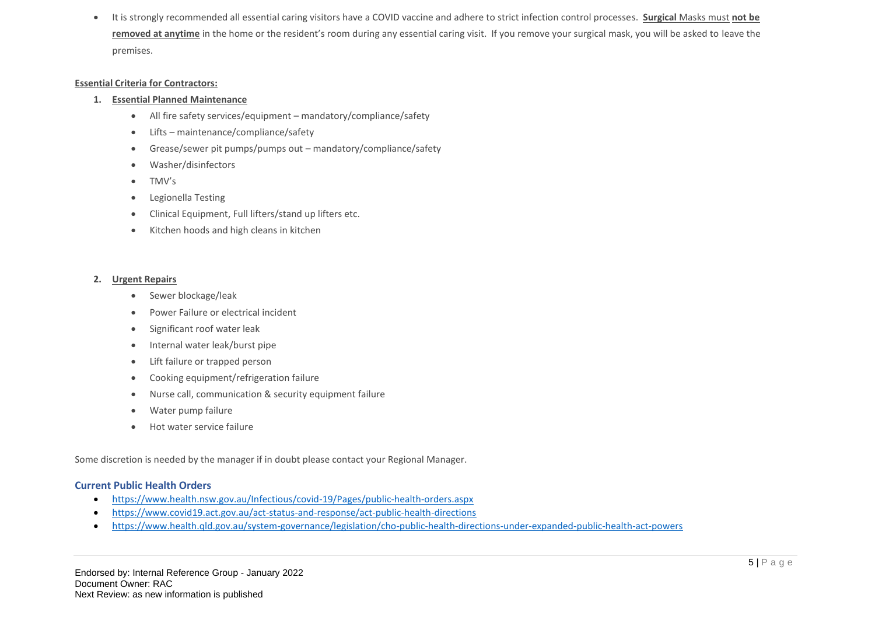• It is strongly recommended all essential caring visitors have a COVID vaccine and adhere to strict infection control processes. **Surgical** Masks must **not be removed at anytime** in the home or the resident's room during any essential caring visit. If you remove your surgical mask, you will be asked to leave the premises.

#### **Essential Criteria for Contractors:**

#### **1. Essential Planned Maintenance**

- All fire safety services/equipment mandatory/compliance/safety
- Lifts maintenance/compliance/safety
- Grease/sewer pit pumps/pumps out mandatory/compliance/safety
- Washer/disinfectors
- TMV's
- Legionella Testing
- Clinical Equipment, Full lifters/stand up lifters etc.
- Kitchen hoods and high cleans in kitchen

#### **2. Urgent Repairs**

- Sewer blockage/leak
- Power Failure or electrical incident
- Significant roof water leak
- Internal water leak/burst pipe
- Lift failure or trapped person
- Cooking equipment/refrigeration failure
- Nurse call, communication & security equipment failure
- Water pump failure
- Hot water service failure

Some discretion is needed by the manager if in doubt please contact your Regional Manager.

### **Current Public Health Orders**

- <https://www.health.nsw.gov.au/Infectious/covid-19/Pages/public-health-orders.aspx>
- <https://www.covid19.act.gov.au/act-status-and-response/act-public-health-directions>
- <https://www.health.qld.gov.au/system-governance/legislation/cho-public-health-directions-under-expanded-public-health-act-powers>